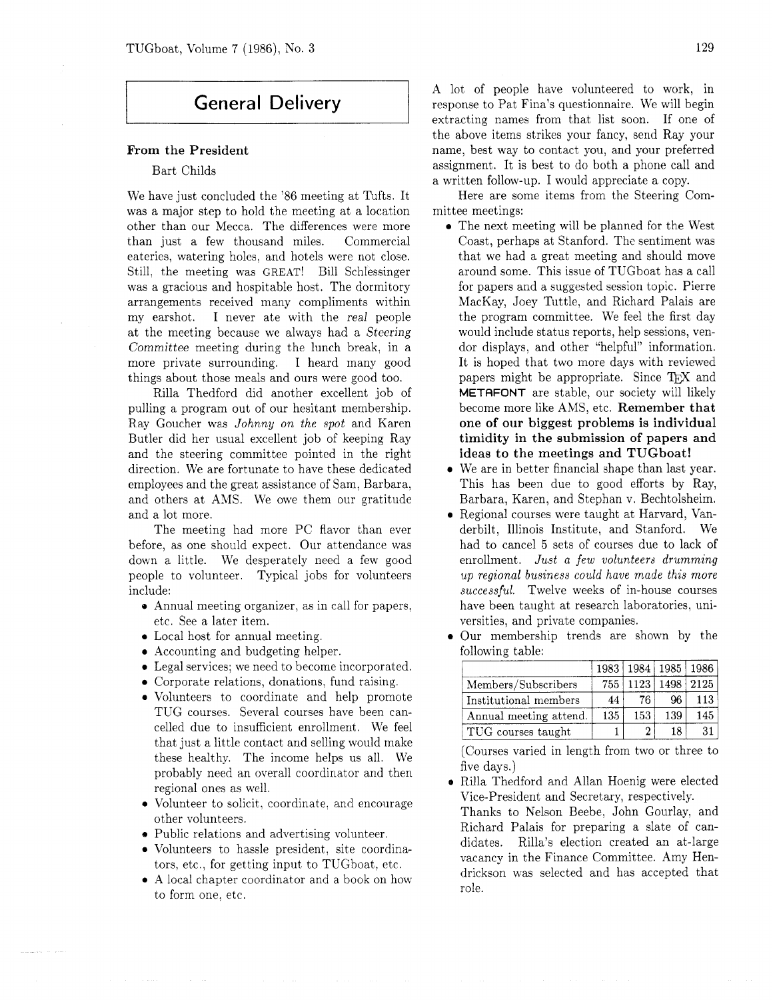# **General Delivery**

#### From the President

### Bart Childs

We have just concluded the '86 meeting at Tufts. It was a major step to hold the meeting at a location other than our Mecca. The differences were more than just a few thousand miles. Commercial eateries, watering holes, and hotels were not close. Still, the meeting was GREAT! Bill Schlessinger was a gracious and hospitable host. The dormitory arrangements received many compliments within my earshot. I never ate with the real people at the meeting because we always had a Steering Committee meeting during the lunch break, in a more private surrounding. I heard many good things about those meals and ours were good too.

Rilla Thedford did another excellent job of pulling a program out of our hesitant membership. Ray Goucher was *Johnny on the spot* and Karen Butler did her usual excellent job of keeping Ray and the steering committee pointed in the right direction. We are fortunate to have these dedicated employees and the great assistance of Sam, Barbara, and others at AMS. We owe them our gratitude and a lot more.

The meeting had more PC flavor than ever before, as one should expect. Our attendance was down a little. We desperately need a few good people to volunteer. Typical jobs for volunteers include:

- Annual meeting organizer, as in call for papers, etc. See a later item.
- Local host for annual meeting.
- Accounting and budgeting helper.
- Legal services: we need to become incorporated.
- Corporate relations, donations, fund raising.
- Volunteers to coordinate and help promote TUG courses. Several courses have been cancelled due to insufficient enrollment. We feel that just a little contact and selling would make these healthy. The income helps us all. We probably need an overall coordinator and then regional ones as well.
- Volunteer to solicit. coordinate, and encourage other volunteers.
- Public relations and advertising volunteer.
- Volunteers to hassle president, site coordinators, etc., for getting input to TUGboat, etc.
- A local chapter coordinator and a book on how  $\bullet$ to form one, etc.

A lot of people have volunteered to work, in response to Pat Fina's questionnaire. We will begin extracting names from that list soon. If one of the above items strikes your fancy, send Ray your name, best way to contact you, and your preferred assignment. It is best to do both a phone call and a written follow-up. I would appreciate a copy.

Here are some items from the Steering Committee meetings:

- **0** The next meeting will be planned for the West Coast, perhaps at Stanford. The sentiment was that we had a great meeting and should move around some. This issue of TUGboat has a call for papers and a suggested session topic. Pierre MacKay, Joey Tuttle, and Richard Palais are the program committee. We feel the first day would include status reports, help sessions, vendor displays, and other "helpful" information. It is hoped that two more days with reviewed dor displays, and other "helpful" information.<br>It is hoped that two more days with reviewed<br>papers might be appropriate. Since T<sub>E</sub>X and<br>METOEONT are stable our society will likely METAFONT are stable, our society will likely become more like AMS, etc. Remember that one of our biggest problems is individual timidity in the submission of papers and ideas to the meetings and TUGboat!
- **0** We are in better financial shape than last year. This has been due to good efforts by Ray, Barbara, Karen, and Stephan v. Bechtolsheim.
- **0** Regional courses were taught at Harvard, Vanderbilt, Illinois Institute, and Stanford. We had to cancel **5** sets of courses due to lack of enrollment. *Just a few volunteers drumming up regional business could have made this more successful.* Twelve weeks of in-house courses have been taught at research laboratories, universities, and private companies.
- Our membership trends are shown by the following table:

|                        | 1983 |                | 1984   1985   1986 |      |
|------------------------|------|----------------|--------------------|------|
| Members/Subscribers    | 755  | 1123           | 1498               | 2125 |
| Institutional members  | 44   | 76             | 96.                | 113  |
| Annual meeting attend. | 135  | 153            | 139                | 145  |
| TUG courses taught     |      | $\overline{2}$ | 18                 | 31   |

(Courses varied in length from two or three to five days.)

**e** Rilla Thedford and Allan Hoenig were elected Vice-president and Secretary, respectively.

Thanks to Nelson Beebe, John Gourlay, and Richard Palais for preparing a slate of candidates. Rilla's election created an at-large vacancy in the Finance Committee. Amy Hendrickson was selected and has accepted that role.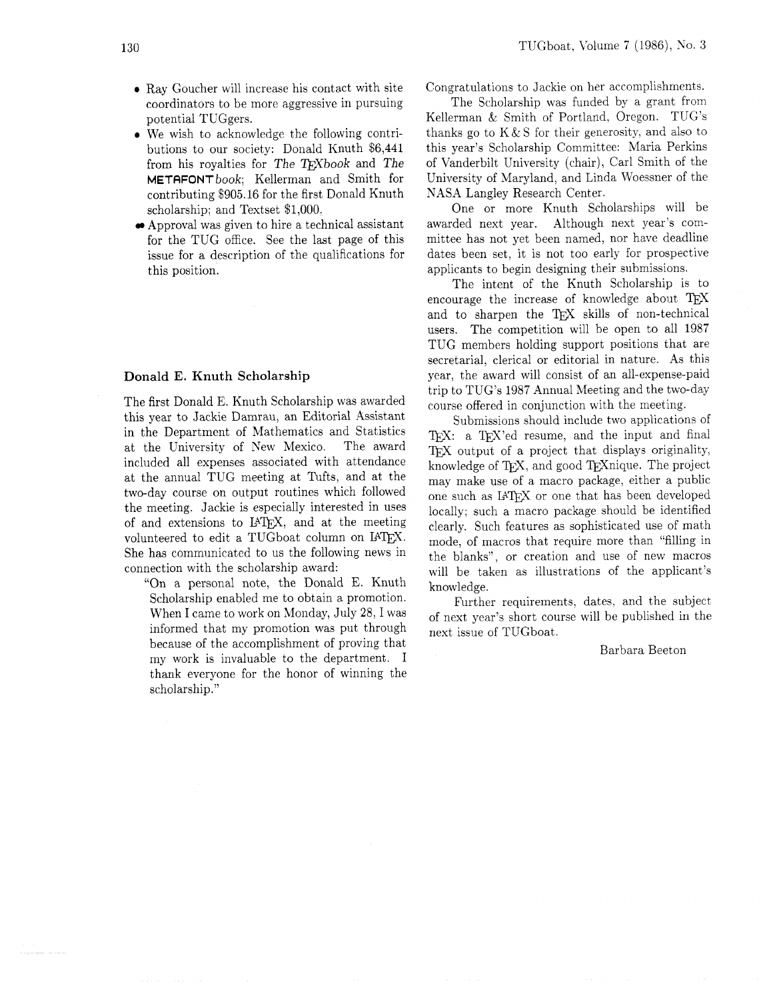- **0** Ray Goucher will increase his contact with site coordinators to be more aggressive in pursuing potential TUGgers.
- **0** We wish to acknowledge the following contributions to our society: Donald Knuth \$6,441 from his royalties for The T<sub>F</sub>Xbook and The METAFONTbook; Kellerman and Smith for contributing \$905.16 for the first Donald Knuth scholarship; and Textset \$1.000.
- Approval was given to hire a technical assistant for the TUG office. See the last page of this issue for a description of the qualifications for this position.

## Donald E. Knuth Scholarship

The first Donald E. Knuth Scholarship was awarded this year to Jackie Damrau, an Editorial Assistant in the Department of Mathematics and Statistics at the University of Kew Mexico. The award included all expenses associated with attendance at the annual TUG meeting at Tufts, and at the two-day course on output routines which followed the meeting. Jackie is especially interested in uses of and extensions to IATFX, and at the meeting volunteered to edit a TUGboat column on IATFX. She has communicated to us the following news in connection with the scholarship award:

"On a personal note, the Donald E. Knuth Scholarship enabled me to obtain a promotion. When I came to work on Monday, July 28, I was informed that my promotion was put through because of the accomplishment of proving that my work is invaluable to the department. I thank everyone for the honor of winning the scholarship."

Congratulations to Jackie on her accomplishments.

The Scholarship was funded by a grant from Kellerman & Smith of Portland, Oregon. TUG'S thanks go to  $K&S$  for their generosity, and also to this year's Scholarship Committee: Maria Perkins of Vanderbilt University (chair), Carl Smith of the University of Maryland, and Linda Woessner of the NASA Langley Research Center.

One or more Knuth Scholarships will be awarded next year. Although next year's committee has not yet been named, nor have deadline dates been set, it is not too early for prospective applicants to begin designing their submissions.

The intent of the Knuth Scholarship is to encourage the increase of knowledge about TFX and to sharpen the TFX skills of non-technical users. The competition will be open to all 1987 TUG members holding support positions that are secretarial, clerical or editorial in nature. As this year, the award will consist of an all-expense-paid trip to TUG'S 1987 Annual Meeting and the two-day course offered in conjunction with the meeting.

Submissions should include two applications of  $Tr X: a Tr X'ed resume, and the input and final$ TFX output of a project that displays originality, knowledge of TEX, and good TEXnique. The project may make use of a macro package, either a public one such as IAT<sub>E</sub>X or one that has been developed locally; such a macro package should be identified clearly. Such features as sophisticated use of math mode, of macros that require more than "filling in the blanks", or creation and use of new macros will be taken as illustrations of the applicant's knowledge.

Further requirements, dates, and the subject of next year's short course will be published in the next issue of TUGboat.

Barbara Beeton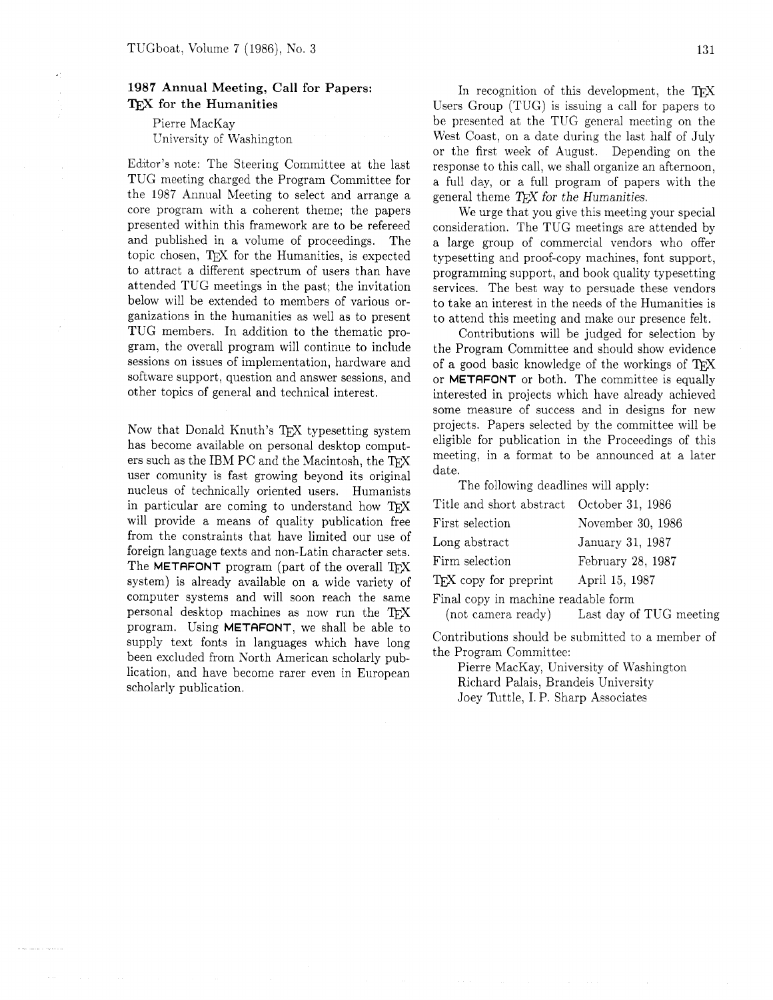## **1987 Annual Meeting, Call for Papers:**  TEX **for the Humanities**

Pierre MacKay University of Washington

Editor's note: The Steering Committee at the last TUG meeting charged the Program Committee for the 1987 Annual Meeting to select and arrange a core program with a coherent theme; the papers presented within this framework are to be refereed and published in a volume of proceedings. The topic chosen, TEX for the Humanities, is expected to attract a different spectrum of users than have attended TUG meetings in the past; the invitation below will be extended to members of various organizations in the humanities as well as to present TUG members. In addition to the thematic program, the overall program will continue to include sessions on issues of implementation, hardware and software support, question and answer sessions, and other topics of general and technical interest.

Now that Donald Knuth's T<sub>EX</sub> typesetting system has become available on personal desktop computers such as the IBM PC and the Macintosh, the TEX user comunity is fast growing beyond its original nucleus of technically oriented users. Humanists in particular are coming to understand how TFX will provide a means of quality publication free from the constraints that have limited our use of foreign language texts and non-Latin character sets. The **METAFONT** program (part of the overall TFX system) is already available on a wide variety of computer systems and will soon reach the same personal desktop machines as now run the TFX program. Using METAFONT, we shall be able to supply text fonts in languages which have long been excluded from North American scholarly publication, and have become rarer even in European scholarly publication.

In recognition of this development, the TFX Users Group (TUG) is issuing a call for papers to be presented at the TUG general meeting on the West Coast, on a date during the last half of July or the first week of August. Depending on the response to this call, we shall organize an afternoon, a full day, or a full program of papers with the general theme  $T_F X$  for the Humanities.

We urge that you give this meeting your special consideration. The TUG meetings are attended by a large group of commercial vendors who offer typesetting and proof-copy machines, font support, programming support, and book quality typesetting services. The best way to persuade these vendors to take an interest in the needs of the Humanities is to attend this meeting and make our presence felt.

Contributions will be judged for selection by the Program Committee and should show evidence of a good basic knowledge of the workings of TEX or METAFONT or both. The committee is equally interested in projects which have already achieved some measure of success and in designs for new projects. Papers selected by the committee will be eligible for publication in the Proceedings of this meeting, in a format to be announced at a later date.

The following deadlines will apply:

| Title and short abstract October 31, 1986 |                                            |  |
|-------------------------------------------|--------------------------------------------|--|
| First selection                           | November 30, 1986                          |  |
| Long abstract                             | January 31, 1987                           |  |
| Firm selection                            | February 28, 1987                          |  |
| T <sub>F</sub> X copy for preprint        | April 15, 1987                             |  |
| Final copy in machine readable form       |                                            |  |
|                                           | (not camera ready) Last day of TUG meeting |  |

Contributions should be submitted to a member of the Program Committee:

Pierre MacKay, University of Washington Richard Palais, Brandeis University Joey Tuttle, I. P. Sharp Associates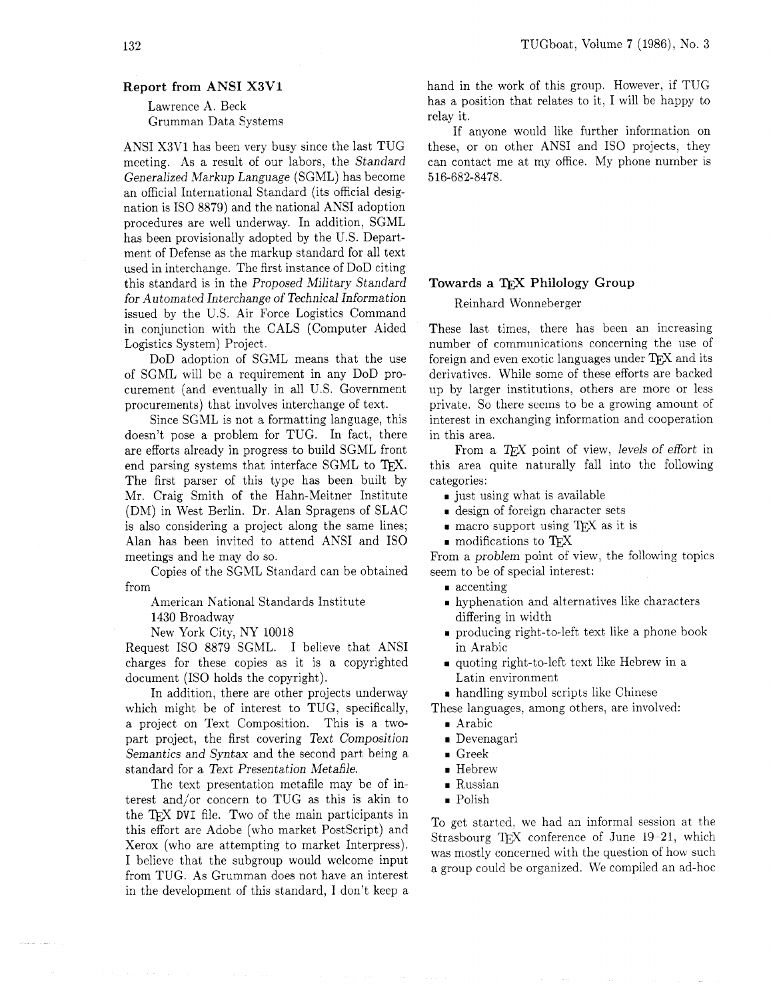## **Report from ANSI X3V1**

Lawrence A. Beck Grumman Data Systems

ANSI X3V1 has been very busy since the last TUG meeting. As a result of our labors, the Standard Generalized Markup Language (SGML) has become an official International Standard (its official designation is IS0 8879) and the national ANSI adoption procedures are well underway. In addition, SGML has been provisionally adopted by the U.S. Department of Defense as the markup standard for all text used in interchange. The first instance of DoD citing this standard is in the Proposed Military Standard for Automated Interchange of Technical Information issued by the U.S. Air Force Logistics Command in conjunction with the CALS (Computer Aided Logistics System) Project.

DoD adoption of SGML means that the use of SGML will be a requirement in any DoD procurement (and eventually in all U.S. Government procurements) that involves interchange of text.

Since SGML is not a formatting language, this doesn't pose a problem for TUG. In fact, there are efforts already in progress to build SGML front doesn't pose a problem for TUG. In fact, there in this are<br>are efforts already in progress to build SGML front From<br>end parsing systems that interface SGML to T<sub>E</sub>X. this area<br>The first parson of this tune bas been built b The first parser of this type has been built by Mr. Craig Smith of the Hahn-Meitner Institute (DM) in West Berlin. Dr. Alan Spragens of SLAC is also considering a project along the same lines; Alan has been invited to attend ANSI and IS0 meetings and he may do so.

Copies of the SGML Standard can be obtained from

American National Standards Institute

1430 Broadway

New York City, NY 10018

Request IS0 8879 SGML. I believe that ANSI charges for these copies as it is a copyrighted document (IS0 holds the copyright).

In addition, there are other projects underway which might be of interest to TUG, specifically, a project on Text Composition. This is a twopart project, the first covering Text Composition Semantics and Syntax and the second part being a standard for a Text Presentation Metafile.

The text presentation metafile may be of interest and/or concern to TUG as this is akin to the **DVI** file. Two of the main participants in this effort are Adobe (who market PostScript) and Xerox (who are attempting to market Interpress). I believe that the subgroup would welcome input from TUG. As Grumman does not have an interest in the development of this standard, I don't keep a hand in the work of this group. However, if TUG has a position that relates to it, I will be happy to relay it.

If anyone would like further information on these, or on other ANSI and IS0 projects, they can contact me at my office. My phone number is 516-682-8478.

#### **Towards a** TEX **Philology Group**

Reinhard Wonneberger

These last times, there has been an increasing number of communications concerning the use of foreign and even exotic languages under T<sub>F</sub>X and its derivatives. While some of these efforts are backed up by larger institutions, others are more or less private. So there seems to be a growing amount of interest in exchanging information and cooperation in this area.

From a  $T_F X$  point of view, levels of effort in this area quite naturally fall into the following categories:

- *x* just using what is available
- **rn** design of foreign character sets
- **reduce** matrix is matrix when **reduce** measurements in the matrix of  $\mathbb{R}$  as it is
- **r** modifications to T<sub>E</sub>X

From a problem point of view, the following topics seem to be of special interest:

- **rn** accenting
- **random** and alternatives like characters differing in width
- **r** producing right-to-left text like a phone book in Arabic
- quoting right-to-left text like Hebrew in a Latin environment

**rn** handling symbol scripts like Chinese

These languages, among others. are involved:

- **rn** Arabic
- **rn** Devenagari
- **rn** Greek
- **rn** Hebrew
- **rn** Russian
- **rn** Polish

To get started, we had an informal session at the Strasbourg TEX conference of June 19-21, which was mostly concerned with the question of how such a group could be organized. We compiled an ad-hoc